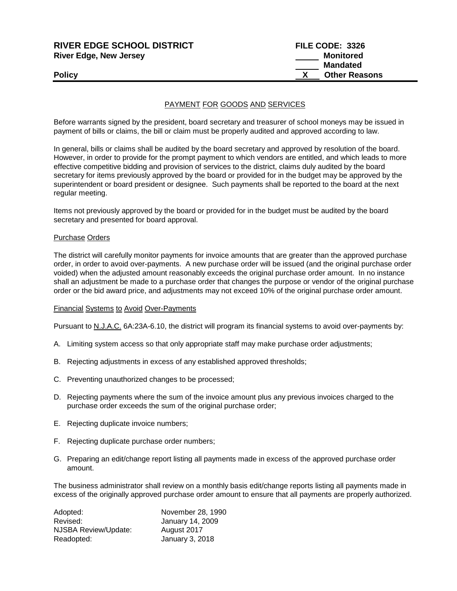| <b>RIVER EDGE SCHOOL DISTRICT</b> | FILE CODE: 3326      |
|-----------------------------------|----------------------|
| <b>River Edge, New Jersey</b>     | Monitored            |
|                                   | <b>Mandated</b>      |
| <b>Policy</b>                     | <b>Other Reasons</b> |
|                                   |                      |

## PAYMENT FOR GOODS AND SERVICES

Before warrants signed by the president, board secretary and treasurer of school moneys may be issued in payment of bills or claims, the bill or claim must be properly audited and approved according to law.

In general, bills or claims shall be audited by the board secretary and approved by resolution of the board. However, in order to provide for the prompt payment to which vendors are entitled, and which leads to more effective competitive bidding and provision of services to the district, claims duly audited by the board secretary for items previously approved by the board or provided for in the budget may be approved by the superintendent or board president or designee. Such payments shall be reported to the board at the next regular meeting.

Items not previously approved by the board or provided for in the budget must be audited by the board secretary and presented for board approval.

### Purchase Orders

The district will carefully monitor payments for invoice amounts that are greater than the approved purchase order, in order to avoid over-payments. A new purchase order will be issued (and the original purchase order voided) when the adjusted amount reasonably exceeds the original purchase order amount. In no instance shall an adjustment be made to a purchase order that changes the purpose or vendor of the original purchase order or the bid award price, and adjustments may not exceed 10% of the original purchase order amount.

### Financial Systems to Avoid Over-Payments

Pursuant to N.J.A.C. 6A:23A-6.10, the district will program its financial systems to avoid over-payments by:

- A. Limiting system access so that only appropriate staff may make purchase order adjustments;
- B. Rejecting adjustments in excess of any established approved thresholds;
- C. Preventing unauthorized changes to be processed;
- D. Rejecting payments where the sum of the invoice amount plus any previous invoices charged to the purchase order exceeds the sum of the original purchase order;
- E. Rejecting duplicate invoice numbers;
- F. Rejecting duplicate purchase order numbers;
- G. Preparing an edit/change report listing all payments made in excess of the approved purchase order amount.

The business administrator shall review on a monthly basis edit/change reports listing all payments made in excess of the originally approved purchase order amount to ensure that all payments are properly authorized.

| Adopted:                    | November 28, 1990 |
|-----------------------------|-------------------|
| Revised:                    | January 14, 2009  |
| <b>NJSBA Review/Update:</b> | August 2017       |
| Readopted:                  | January 3, 2018   |